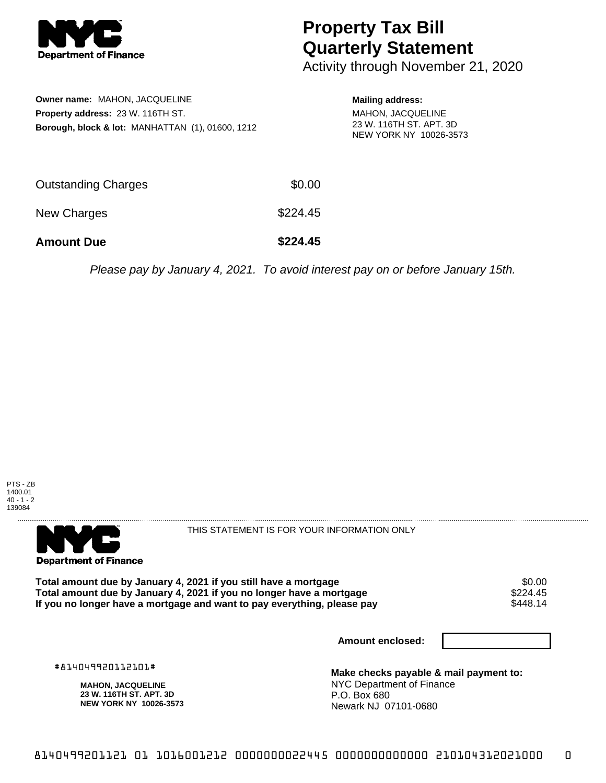

## **Property Tax Bill Quarterly Statement**

Activity through November 21, 2020

| <b>Owner name: MAHON, JACQUELINE</b><br><b>Property address: 23 W. 116TH ST.</b><br><b>Borough, block &amp; lot: MANHATTAN (1), 01600, 1212</b> |          | <b>Mailing address:</b><br><b>MAHON, JACQUELINE</b><br>23 W. 116TH ST. APT. 3D<br>NEW YORK NY 10026-3573 |
|-------------------------------------------------------------------------------------------------------------------------------------------------|----------|----------------------------------------------------------------------------------------------------------|
| <b>Outstanding Charges</b>                                                                                                                      | \$0.00   |                                                                                                          |
| New Charges                                                                                                                                     | \$224.45 |                                                                                                          |

**Amount Due \$224.45**

Please pay by January 4, 2021. To avoid interest pay on or before January 15th.





THIS STATEMENT IS FOR YOUR INFORMATION ONLY

Total amount due by January 4, 2021 if you still have a mortgage \$0.00<br>Total amount due by January 4, 2021 if you no longer have a mortgage \$224.45 **Total amount due by January 4, 2021 if you no longer have a mortgage \$224.45<br>If you no longer have a mortgage and want to pay everything, please pay \$448.14** If you no longer have a mortgage and want to pay everything, please pay

**Amount enclosed:**

#814049920112101#

**MAHON, JACQUELINE 23 W. 116TH ST. APT. 3D NEW YORK NY 10026-3573**

**Make checks payable & mail payment to:** NYC Department of Finance P.O. Box 680 Newark NJ 07101-0680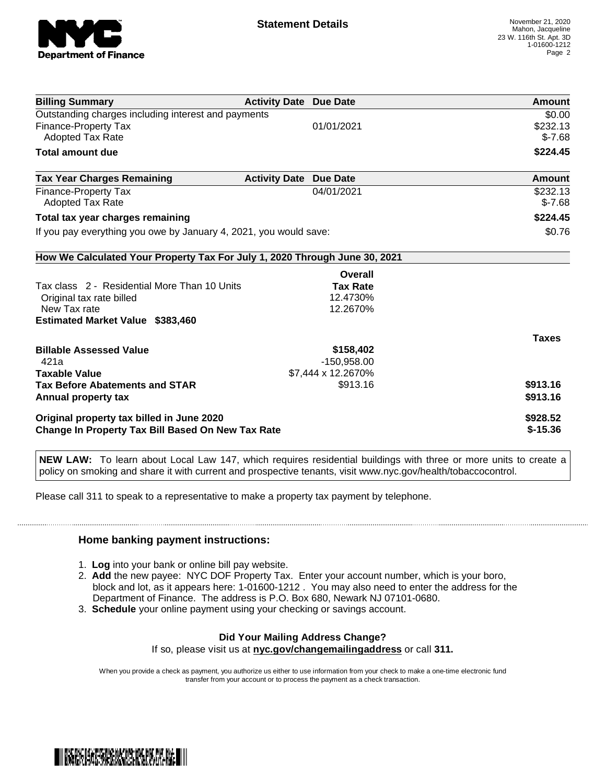

| <b>Billing Summary</b>                                                     | <b>Activity Date Due Date</b> |                    | <b>Amount</b> |
|----------------------------------------------------------------------------|-------------------------------|--------------------|---------------|
| Outstanding charges including interest and payments                        |                               |                    | \$0.00        |
| Finance-Property Tax                                                       |                               | 01/01/2021         | \$232.13      |
| <b>Adopted Tax Rate</b>                                                    |                               |                    | $$-7.68$      |
| <b>Total amount due</b>                                                    |                               |                    | \$224.45      |
| <b>Tax Year Charges Remaining</b>                                          | <b>Activity Date</b>          | <b>Due Date</b>    | Amount        |
| Finance-Property Tax                                                       |                               | 04/01/2021         | \$232.13      |
| Adopted Tax Rate                                                           |                               |                    | $$-7.68$      |
| Total tax year charges remaining                                           |                               |                    | \$224.45      |
| If you pay everything you owe by January 4, 2021, you would save:          |                               |                    | \$0.76        |
| How We Calculated Your Property Tax For July 1, 2020 Through June 30, 2021 |                               |                    |               |
|                                                                            |                               | Overall            |               |
| Tax class 2 - Residential More Than 10 Units                               |                               | <b>Tax Rate</b>    |               |
| Original tax rate billed                                                   |                               | 12.4730%           |               |
| New Tax rate                                                               |                               | 12.2670%           |               |
| Estimated Market Value \$383,460                                           |                               |                    |               |
|                                                                            |                               |                    | <b>Taxes</b>  |
| <b>Billable Assessed Value</b>                                             |                               | \$158,402          |               |
| 421a                                                                       |                               | $-150,958.00$      |               |
| <b>Taxable Value</b>                                                       |                               | \$7,444 x 12.2670% |               |
| <b>Tax Before Abatements and STAR</b>                                      |                               | \$913.16           | \$913.16      |
| Annual property tax                                                        |                               |                    | \$913.16      |
| Original property tax billed in June 2020                                  |                               |                    | \$928.52      |
| <b>Change In Property Tax Bill Based On New Tax Rate</b>                   |                               |                    | $$-15.36$     |

**NEW LAW:** To learn about Local Law 147, which requires residential buildings with three or more units to create a policy on smoking and share it with current and prospective tenants, visit www.nyc.gov/health/tobaccocontrol.

Please call 311 to speak to a representative to make a property tax payment by telephone.

## **Home banking payment instructions:**

- 1. **Log** into your bank or online bill pay website.
- 2. **Add** the new payee: NYC DOF Property Tax. Enter your account number, which is your boro, block and lot, as it appears here: 1-01600-1212 . You may also need to enter the address for the Department of Finance. The address is P.O. Box 680, Newark NJ 07101-0680.
- 3. **Schedule** your online payment using your checking or savings account.

## **Did Your Mailing Address Change?**

If so, please visit us at **nyc.gov/changemailingaddress** or call **311.**

When you provide a check as payment, you authorize us either to use information from your check to make a one-time electronic fund transfer from your account or to process the payment as a check transaction.